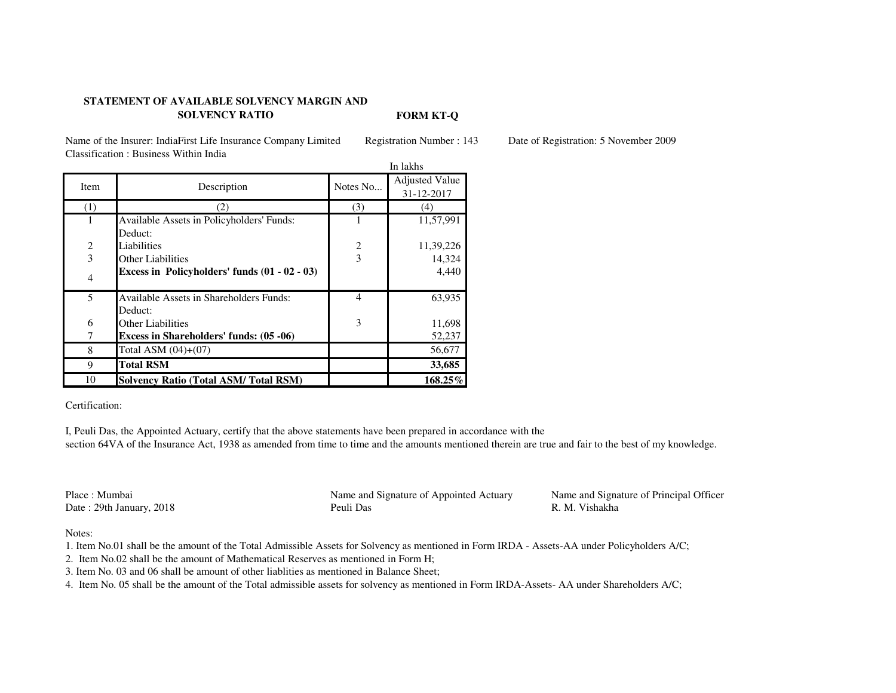## **STATEMENT OF AVAILABLE SOLVENCY MARGIN AND SOLVENCY RATIO**

Name of the Insurer: IndiaFirst Life Insurance Company Limited Registration Number : 143 Date of Registration: 5 November 2009Classification : Business Within India

|                |                                                | In lakhs                |                       |  |
|----------------|------------------------------------------------|-------------------------|-----------------------|--|
| Item           | Description                                    | Notes No                | <b>Adjusted Value</b> |  |
|                |                                                |                         | 31-12-2017            |  |
| (1)            | 2)                                             | (3)                     | (4)                   |  |
|                | Available Assets in Policyholders' Funds:      |                         | 11,57,991             |  |
|                | Deduct:                                        |                         |                       |  |
| 2              | Liabilities                                    | $\overline{\mathbf{c}}$ | 11,39,226             |  |
| 3              | <b>Other Liabilities</b>                       | $\overline{3}$          | 14,324                |  |
| $\overline{4}$ | Excess in Policyholders' funds (01 - 02 - 03)  |                         | 4,440                 |  |
| 5              | <b>Available Assets in Shareholders Funds:</b> | $\overline{4}$          | 63,935                |  |
|                | Deduct:                                        |                         |                       |  |
| 6              | Other Liabilities                              | 3                       | 11,698                |  |
|                | <b>Excess in Shareholders' funds: (05 -06)</b> |                         | 52,237                |  |
| 8              | Total ASM $(04)+(07)$                          |                         | 56,677                |  |
| 9              | <b>Total RSM</b>                               |                         | 33,685                |  |
| 10             | <b>Solvency Ratio (Total ASM/Total RSM)</b>    |                         | 168.25%               |  |

Certification:

I, Peuli Das, the Appointed Actuary, certify that the above statements have been prepared in accordance with the section 64VA of the Insurance Act, 1938 as amended from time to time and the amounts mentioned therein are true and fair to the best of my knowledge.

Place : MumbaiDate : 29th January, 2018

 Name and Signature of Appointed Actuary8 R. M. Vishakha

**FORM KT-Q**

Name and Signature of Principal Officer<br>R. M. Vishakha

Notes:

1. Item No.01 shall be the amount of the Total Admissible Assets for Solvency as mentioned in Form IRDA - Assets-AA under Policyholders A/C;

2. Item No.02 shall be the amount of Mathematical Reserves as mentioned in Form H;

3. Item No. 03 and 06 shall be amount of other liablities as mentioned in Balance Sheet;

4. Item No. 05 shall be the amount of the Total admissible assets for solvency as mentioned in Form IRDA-Assets- AA under Shareholders A/C;